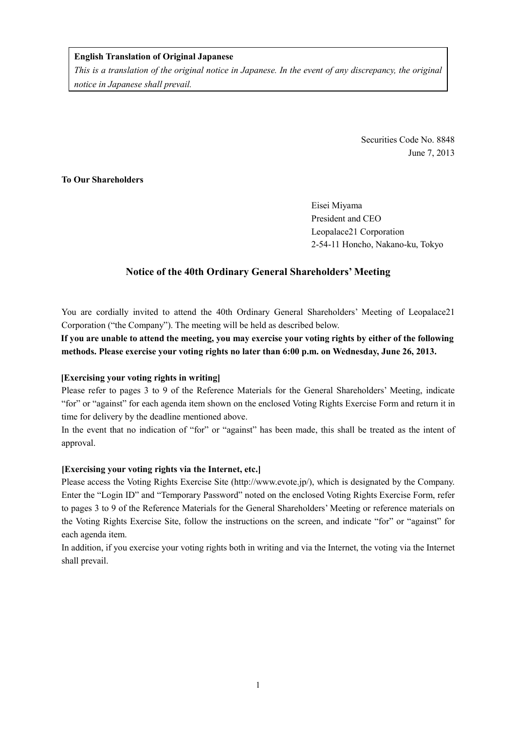# **English Translation of Original Japanese**

*This is a translation of the original notice in Japanese. In the event of any discrepancy, the original notice in Japanese shall prevail.* 

> Securities Code No. 8848 June 7, 2013

# **To Our Shareholders**

Eisei Miyama President and CEO Leopalace21 Corporation 2-54-11 Honcho, Nakano-ku, Tokyo

# **Notice of the 40th Ordinary General Shareholders' Meeting**

You are cordially invited to attend the 40th Ordinary General Shareholders' Meeting of Leopalace21 Corporation ("the Company"). The meeting will be held as described below.

**If you are unable to attend the meeting, you may exercise your voting rights by either of the following methods. Please exercise your voting rights no later than 6:00 p.m. on Wednesday, June 26, 2013.** 

## **[Exercising your voting rights in writing]**

Please refer to pages 3 to 9 of the Reference Materials for the General Shareholders' Meeting, indicate "for" or "against" for each agenda item shown on the enclosed Voting Rights Exercise Form and return it in time for delivery by the deadline mentioned above.

In the event that no indication of "for" or "against" has been made, this shall be treated as the intent of approval.

## **[Exercising your voting rights via the Internet, etc.]**

Please access the Voting Rights Exercise Site (http://www.evote.jp/), which is designated by the Company. Enter the "Login ID" and "Temporary Password" noted on the enclosed Voting Rights Exercise Form, refer to pages 3 to 9 of the Reference Materials for the General Shareholders' Meeting or reference materials on the Voting Rights Exercise Site, follow the instructions on the screen, and indicate "for" or "against" for each agenda item.

In addition, if you exercise your voting rights both in writing and via the Internet, the voting via the Internet shall prevail.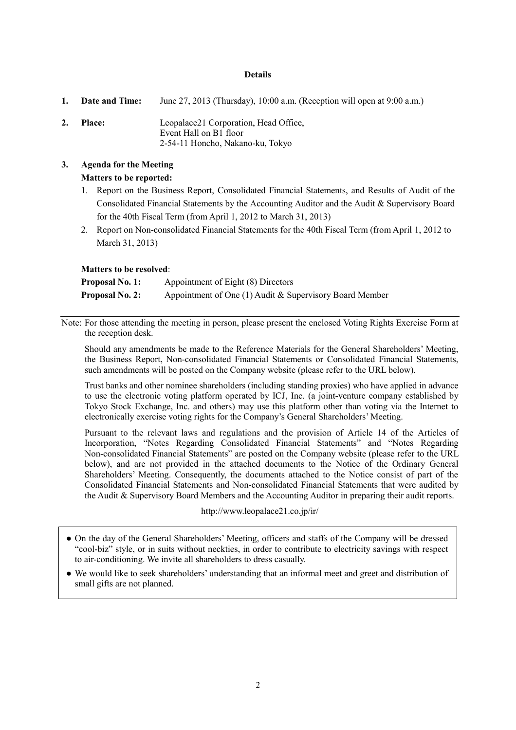#### **Details**

**1. Date and Time:** June 27, 2013 (Thursday), 10:00 a.m. (Reception will open at 9:00 a.m.) **2. Place:** Leopalace21 Corporation, Head Office, Event Hall on B1 floor 2-54-11 Honcho, Nakano-ku, Tokyo

# **3. Agenda for the Meeting Matters to be reported:**

- 1. Report on the Business Report, Consolidated Financial Statements, and Results of Audit of the Consolidated Financial Statements by the Accounting Auditor and the Audit & Supervisory Board for the 40th Fiscal Term (from April 1, 2012 to March 31, 2013)
- 2. Report on Non-consolidated Financial Statements for the 40th Fiscal Term (from April 1, 2012 to March 31, 2013)

## **Matters to be resolved**:

| <b>Proposal No. 1:</b> | Appointment of Eight (8) Directors                        |
|------------------------|-----------------------------------------------------------|
| <b>Proposal No. 2:</b> | Appointment of One $(1)$ Audit & Supervisory Board Member |

Note: For those attending the meeting in person, please present the enclosed Voting Rights Exercise Form at the reception desk.

Should any amendments be made to the Reference Materials for the General Shareholders' Meeting, the Business Report, Non-consolidated Financial Statements or Consolidated Financial Statements, such amendments will be posted on the Company website (please refer to the URL below).

Trust banks and other nominee shareholders (including standing proxies) who have applied in advance to use the electronic voting platform operated by ICJ, Inc. (a joint-venture company established by Tokyo Stock Exchange, Inc. and others) may use this platform other than voting via the Internet to electronically exercise voting rights for the Company's General Shareholders' Meeting.

Pursuant to the relevant laws and regulations and the provision of Article 14 of the Articles of Incorporation, "Notes Regarding Consolidated Financial Statements" and "Notes Regarding Non-consolidated Financial Statements" are posted on the Company website (please refer to the URL below), and are not provided in the attached documents to the Notice of the Ordinary General Shareholders' Meeting. Consequently, the documents attached to the Notice consist of part of the Consolidated Financial Statements and Non-consolidated Financial Statements that were audited by the Audit & Supervisory Board Members and the Accounting Auditor in preparing their audit reports.

#### http://www.leopalace21.co.jp/ir/

- On the day of the General Shareholders' Meeting, officers and staffs of the Company will be dressed "cool-biz" style, or in suits without neckties, in order to contribute to electricity savings with respect to air-conditioning. We invite all shareholders to dress casually.
- We would like to seek shareholders' understanding that an informal meet and greet and distribution of small gifts are not planned.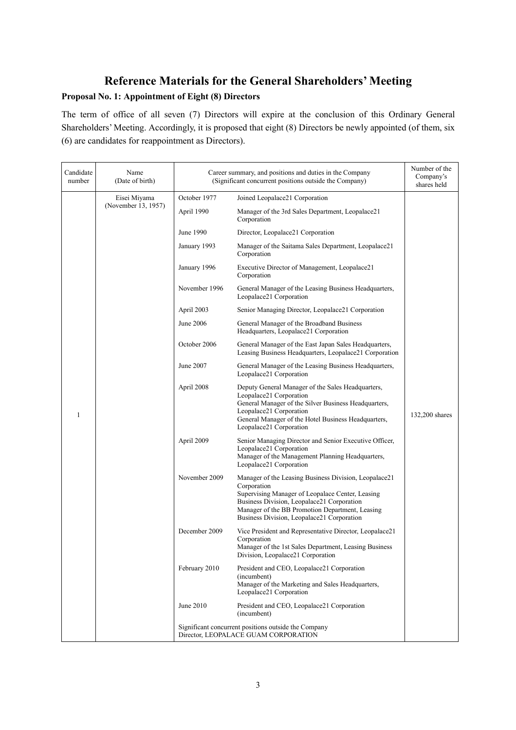# **Reference Materials for the General Shareholders' Meeting Proposal No. 1: Appointment of Eight (8) Directors**

The term of office of all seven (7) Directors will expire at the conclusion of this Ordinary General Shareholders' Meeting. Accordingly, it is proposed that eight (8) Directors be newly appointed (of them, six (6) are candidates for reappointment as Directors).

| Candidate<br>number | Name<br>(Date of birth) |               | Career summary, and positions and duties in the Company<br>(Significant concurrent positions outside the Company)                                                                                                                                                       | Number of the<br>Company's<br>shares held |
|---------------------|-------------------------|---------------|-------------------------------------------------------------------------------------------------------------------------------------------------------------------------------------------------------------------------------------------------------------------------|-------------------------------------------|
|                     | Eisei Miyama            | October 1977  | Joined Leopalace21 Corporation                                                                                                                                                                                                                                          |                                           |
|                     | (November 13, 1957)     | April 1990    | Manager of the 3rd Sales Department, Leopalace21<br>Corporation                                                                                                                                                                                                         |                                           |
|                     |                         | June 1990     | Director, Leopalace21 Corporation                                                                                                                                                                                                                                       |                                           |
|                     |                         | January 1993  | Manager of the Saitama Sales Department, Leopalace21<br>Corporation                                                                                                                                                                                                     |                                           |
|                     |                         | January 1996  | Executive Director of Management, Leopalace21<br>Corporation                                                                                                                                                                                                            |                                           |
|                     |                         | November 1996 | General Manager of the Leasing Business Headquarters,<br>Leopalace21 Corporation                                                                                                                                                                                        |                                           |
|                     |                         | April 2003    | Senior Managing Director, Leopalace21 Corporation                                                                                                                                                                                                                       |                                           |
|                     |                         | June 2006     | General Manager of the Broadband Business<br>Headquarters, Leopalace21 Corporation                                                                                                                                                                                      |                                           |
|                     |                         | October 2006  | General Manager of the East Japan Sales Headquarters,<br>Leasing Business Headquarters, Leopalace21 Corporation                                                                                                                                                         |                                           |
|                     |                         | June 2007     | General Manager of the Leasing Business Headquarters,<br>Leopalace21 Corporation                                                                                                                                                                                        |                                           |
| 1                   |                         | April 2008    | Deputy General Manager of the Sales Headquarters,<br>Leopalace21 Corporation<br>General Manager of the Silver Business Headquarters,<br>Leopalace21 Corporation<br>General Manager of the Hotel Business Headquarters,<br>Leopalace21 Corporation                       | 132,200 shares                            |
|                     |                         | April 2009    | Senior Managing Director and Senior Executive Officer,<br>Leopalace21 Corporation<br>Manager of the Management Planning Headquarters,<br>Leopalace21 Corporation                                                                                                        |                                           |
|                     |                         | November 2009 | Manager of the Leasing Business Division, Leopalace21<br>Corporation<br>Supervising Manager of Leopalace Center, Leasing<br>Business Division, Leopalace21 Corporation<br>Manager of the BB Promotion Department, Leasing<br>Business Division, Leopalace21 Corporation |                                           |
|                     |                         | December 2009 | Vice President and Representative Director, Leopalace21<br>Corporation<br>Manager of the 1st Sales Department, Leasing Business<br>Division, Leopalace21 Corporation                                                                                                    |                                           |
|                     |                         | February 2010 | President and CEO, Leopalace21 Corporation<br>(incumbent)<br>Manager of the Marketing and Sales Headquarters,<br>Leopalace21 Corporation                                                                                                                                |                                           |
|                     |                         | June 2010     | President and CEO, Leopalace21 Corporation<br>(incumbent)                                                                                                                                                                                                               |                                           |
|                     |                         |               | Significant concurrent positions outside the Company<br>Director, LEOPALACE GUAM CORPORATION                                                                                                                                                                            |                                           |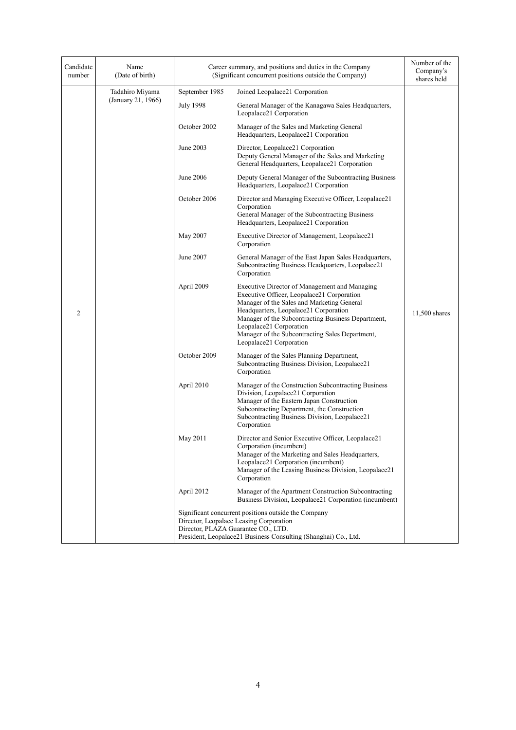| Candidate<br>number | Name<br>(Date of birth) |                  | Career summary, and positions and duties in the Company<br>(Significant concurrent positions outside the Company)                                                                                                                                                                                                                                 | Number of the<br>Company's<br>shares held |
|---------------------|-------------------------|------------------|---------------------------------------------------------------------------------------------------------------------------------------------------------------------------------------------------------------------------------------------------------------------------------------------------------------------------------------------------|-------------------------------------------|
|                     | Tadahiro Miyama         | September 1985   | Joined Leopalace21 Corporation                                                                                                                                                                                                                                                                                                                    |                                           |
|                     | (January 21, 1966)      | <b>July 1998</b> | General Manager of the Kanagawa Sales Headquarters,<br>Leopalace21 Corporation                                                                                                                                                                                                                                                                    |                                           |
|                     |                         | October 2002     | Manager of the Sales and Marketing General<br>Headquarters, Leopalace21 Corporation                                                                                                                                                                                                                                                               |                                           |
|                     |                         | June 2003        | Director, Leopalace21 Corporation<br>Deputy General Manager of the Sales and Marketing<br>General Headquarters, Leopalace21 Corporation                                                                                                                                                                                                           |                                           |
|                     |                         | June 2006        | Deputy General Manager of the Subcontracting Business<br>Headquarters, Leopalace21 Corporation                                                                                                                                                                                                                                                    |                                           |
|                     |                         | October 2006     | Director and Managing Executive Officer, Leopalace21<br>Corporation<br>General Manager of the Subcontracting Business<br>Headquarters, Leopalace21 Corporation                                                                                                                                                                                    |                                           |
|                     |                         | May 2007         | Executive Director of Management, Leopalace21<br>Corporation                                                                                                                                                                                                                                                                                      |                                           |
|                     |                         | June 2007        | General Manager of the East Japan Sales Headquarters,<br>Subcontracting Business Headquarters, Leopalace21<br>Corporation                                                                                                                                                                                                                         |                                           |
| $\overline{2}$      |                         | April 2009       | Executive Director of Management and Managing<br>Executive Officer, Leopalace21 Corporation<br>Manager of the Sales and Marketing General<br>Headquarters, Leopalace21 Corporation<br>Manager of the Subcontracting Business Department,<br>Leopalace21 Corporation<br>Manager of the Subcontracting Sales Department,<br>Leopalace21 Corporation | 11,500 shares                             |
|                     |                         | October 2009     | Manager of the Sales Planning Department,<br>Subcontracting Business Division, Leopalace21<br>Corporation                                                                                                                                                                                                                                         |                                           |
|                     |                         | April 2010       | Manager of the Construction Subcontracting Business<br>Division, Leopalace21 Corporation<br>Manager of the Eastern Japan Construction<br>Subcontracting Department, the Construction<br>Subcontracting Business Division, Leopalace21<br>Corporation                                                                                              |                                           |
|                     |                         | May 2011         | Director and Senior Executive Officer, Leopalace21<br>Corporation (incumbent)<br>Manager of the Marketing and Sales Headquarters,<br>Leopalace21 Corporation (incumbent)<br>Manager of the Leasing Business Division, Leopalace21<br>Corporation                                                                                                  |                                           |
|                     |                         | April 2012       | Manager of the Apartment Construction Subcontracting<br>Business Division, Leopalace21 Corporation (incumbent)                                                                                                                                                                                                                                    |                                           |
|                     |                         |                  | Significant concurrent positions outside the Company<br>Director, Leopalace Leasing Corporation<br>Director, PLAZA Guarantee CO., LTD.<br>President, Leopalace21 Business Consulting (Shanghai) Co., Ltd.                                                                                                                                         |                                           |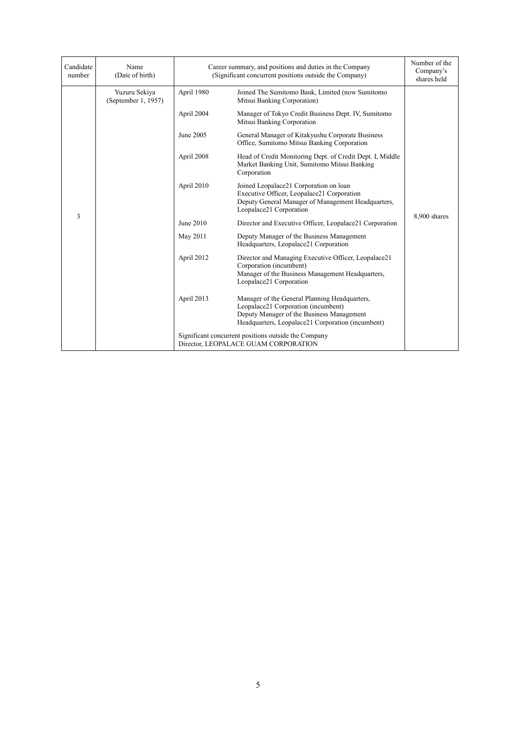| Candidate<br>number | Name<br>(Date of birth)              | Career summary, and positions and duties in the Company<br>(Significant concurrent positions outside the Company) |                                                                                                                                                                                        | Number of the<br>Company's<br>shares held |
|---------------------|--------------------------------------|-------------------------------------------------------------------------------------------------------------------|----------------------------------------------------------------------------------------------------------------------------------------------------------------------------------------|-------------------------------------------|
|                     | Yuzuru Sekiya<br>(September 1, 1957) | April 1980                                                                                                        | Joined The Sumitomo Bank, Limited (now Sumitomo<br>Mitsui Banking Corporation)                                                                                                         |                                           |
|                     |                                      | April 2004                                                                                                        | Manager of Tokyo Credit Business Dept. IV. Sumitomo<br>Mitsui Banking Corporation                                                                                                      |                                           |
|                     |                                      | June 2005                                                                                                         | General Manager of Kitakyushu Corporate Business<br>Office, Sumitomo Mitsui Banking Corporation                                                                                        |                                           |
|                     |                                      | April 2008                                                                                                        | Head of Credit Monitoring Dept. of Credit Dept. I, Middle<br>Market Banking Unit, Sumitomo Mitsui Banking<br>Corporation                                                               | 8,900 shares                              |
| 3                   |                                      | April 2010                                                                                                        | Joined Leopalace21 Corporation on loan<br>Executive Officer, Leopalace21 Corporation<br>Deputy General Manager of Management Headquarters,<br>Leopalace21 Corporation                  |                                           |
|                     |                                      | June 2010                                                                                                         | Director and Executive Officer, Leopalace21 Corporation                                                                                                                                |                                           |
|                     |                                      | May 2011                                                                                                          | Deputy Manager of the Business Management<br>Headquarters, Leopalace21 Corporation                                                                                                     |                                           |
|                     |                                      | April 2012                                                                                                        | Director and Managing Executive Officer, Leopalace21<br>Corporation (incumbent)<br>Manager of the Business Management Headquarters,<br>Leopalace21 Corporation                         |                                           |
|                     |                                      | April 2013                                                                                                        | Manager of the General Planning Headquarters,<br>Leopalace21 Corporation (incumbent)<br>Deputy Manager of the Business Management<br>Headquarters, Leopalace21 Corporation (incumbent) |                                           |
|                     |                                      |                                                                                                                   | Significant concurrent positions outside the Company<br>Director, LEOPALACE GUAM CORPORATION                                                                                           |                                           |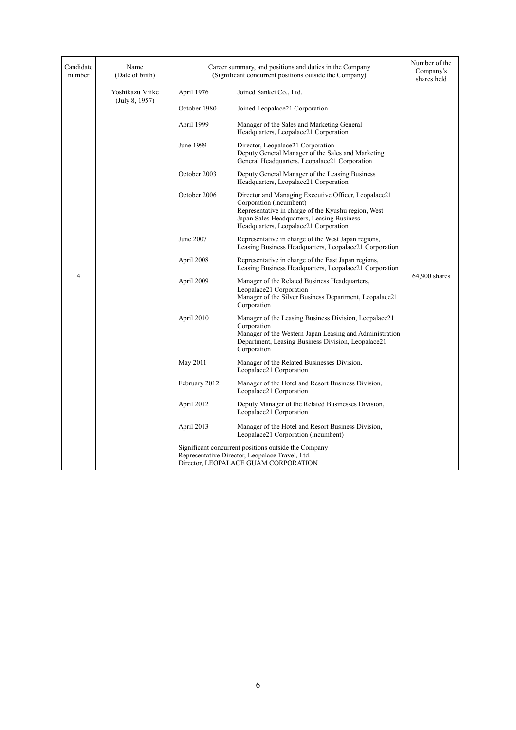| Candidate<br>number | Name<br>(Date of birth)           | Career summary, and positions and duties in the Company<br>(Significant concurrent positions outside the Company) | Number of the<br>Company's<br>shares held                                                                                                                                                                                     |               |
|---------------------|-----------------------------------|-------------------------------------------------------------------------------------------------------------------|-------------------------------------------------------------------------------------------------------------------------------------------------------------------------------------------------------------------------------|---------------|
|                     | Yoshikazu Miike<br>(July 8, 1957) | April 1976                                                                                                        | Joined Sankei Co., Ltd.                                                                                                                                                                                                       | 64,900 shares |
|                     |                                   | October 1980                                                                                                      | Joined Leopalace21 Corporation                                                                                                                                                                                                |               |
|                     |                                   | April 1999                                                                                                        | Manager of the Sales and Marketing General<br>Headquarters, Leopalace21 Corporation                                                                                                                                           |               |
|                     |                                   | June 1999                                                                                                         | Director, Leopalace21 Corporation<br>Deputy General Manager of the Sales and Marketing<br>General Headquarters, Leopalace21 Corporation                                                                                       |               |
|                     |                                   | October 2003                                                                                                      | Deputy General Manager of the Leasing Business<br>Headquarters, Leopalace21 Corporation                                                                                                                                       |               |
|                     |                                   | October 2006                                                                                                      | Director and Managing Executive Officer, Leopalace21<br>Corporation (incumbent)<br>Representative in charge of the Kyushu region, West<br>Japan Sales Headquarters, Leasing Business<br>Headquarters, Leopalace21 Corporation |               |
|                     |                                   | June 2007                                                                                                         | Representative in charge of the West Japan regions,<br>Leasing Business Headquarters, Leopalace21 Corporation                                                                                                                 |               |
|                     |                                   | April 2008                                                                                                        | Representative in charge of the East Japan regions,<br>Leasing Business Headquarters, Leopalace21 Corporation                                                                                                                 |               |
| 4                   |                                   | April 2009                                                                                                        | Manager of the Related Business Headquarters,<br>Leopalace21 Corporation<br>Manager of the Silver Business Department, Leopalace21<br>Corporation                                                                             |               |
|                     |                                   | April 2010                                                                                                        | Manager of the Leasing Business Division, Leopalace21<br>Corporation<br>Manager of the Western Japan Leasing and Administration<br>Department, Leasing Business Division, Leopalace21<br>Corporation                          |               |
|                     |                                   | May 2011                                                                                                          | Manager of the Related Businesses Division,<br>Leopalace21 Corporation                                                                                                                                                        |               |
|                     |                                   | February 2012                                                                                                     | Manager of the Hotel and Resort Business Division,<br>Leopalace21 Corporation                                                                                                                                                 |               |
|                     |                                   | April 2012                                                                                                        | Deputy Manager of the Related Businesses Division,<br>Leopalace21 Corporation                                                                                                                                                 |               |
|                     |                                   | April 2013                                                                                                        | Manager of the Hotel and Resort Business Division,<br>Leopalace21 Corporation (incumbent)                                                                                                                                     |               |
|                     |                                   |                                                                                                                   | Significant concurrent positions outside the Company<br>Representative Director, Leopalace Travel, Ltd.<br>Director, LEOPALACE GUAM CORPORATION                                                                               |               |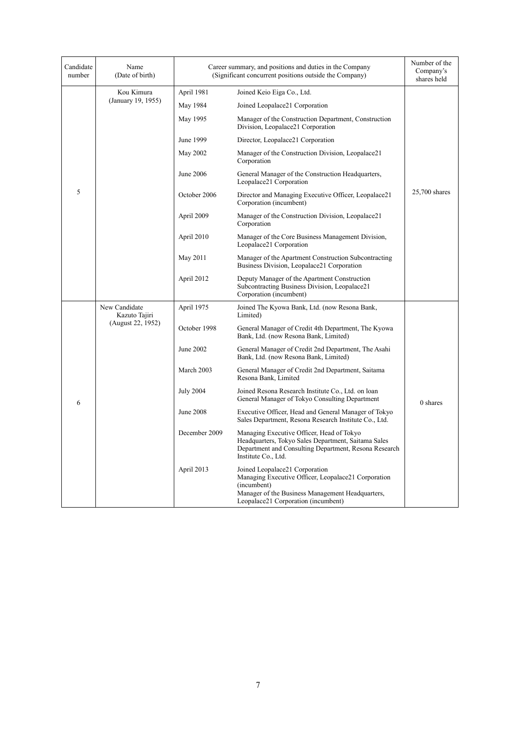| Candidate<br>number | Name<br>(Date of birth)        |                  | Career summary, and positions and duties in the Company<br>(Significant concurrent positions outside the Company)                                                                               | Number of the<br>Company's<br>shares held |
|---------------------|--------------------------------|------------------|-------------------------------------------------------------------------------------------------------------------------------------------------------------------------------------------------|-------------------------------------------|
|                     | Kou Kimura                     | April 1981       | Joined Keio Eiga Co., Ltd.                                                                                                                                                                      |                                           |
|                     | (January 19, 1955)             | May 1984         | Joined Leopalace21 Corporation                                                                                                                                                                  |                                           |
|                     |                                | May 1995         | Manager of the Construction Department, Construction<br>Division, Leopalace21 Corporation                                                                                                       |                                           |
|                     |                                | June 1999        | Director, Leopalace21 Corporation                                                                                                                                                               |                                           |
|                     |                                | May 2002         | Manager of the Construction Division, Leopalace21<br>Corporation                                                                                                                                |                                           |
|                     |                                | June 2006        | General Manager of the Construction Headquarters,<br>Leopalace21 Corporation                                                                                                                    |                                           |
| 5                   |                                | October 2006     | Director and Managing Executive Officer, Leopalace21<br>Corporation (incumbent)                                                                                                                 | 25,700 shares                             |
|                     |                                | April 2009       | Manager of the Construction Division, Leopalace21<br>Corporation                                                                                                                                |                                           |
|                     |                                | April 2010       | Manager of the Core Business Management Division,<br>Leopalace21 Corporation                                                                                                                    |                                           |
|                     |                                | May 2011         | Manager of the Apartment Construction Subcontracting<br>Business Division, Leopalace21 Corporation                                                                                              |                                           |
|                     |                                | April 2012       | Deputy Manager of the Apartment Construction<br>Subcontracting Business Division, Leopalace21<br>Corporation (incumbent)                                                                        |                                           |
|                     | New Candidate<br>Kazuto Tajiri | April 1975       | Joined The Kyowa Bank, Ltd. (now Resona Bank,<br>Limited)                                                                                                                                       |                                           |
|                     | (August 22, 1952)              | October 1998     | General Manager of Credit 4th Department, The Kyowa<br>Bank, Ltd. (now Resona Bank, Limited)                                                                                                    |                                           |
|                     |                                | June 2002        | General Manager of Credit 2nd Department, The Asahi<br>Bank, Ltd. (now Resona Bank, Limited)                                                                                                    |                                           |
| 6                   |                                | March 2003       | General Manager of Credit 2nd Department, Saitama<br>Resona Bank, Limited                                                                                                                       |                                           |
|                     |                                | <b>July 2004</b> | Joined Resona Research Institute Co., Ltd. on loan<br>General Manager of Tokyo Consulting Department                                                                                            | 0 shares                                  |
|                     |                                | <b>June 2008</b> | Executive Officer, Head and General Manager of Tokyo<br>Sales Department, Resona Research Institute Co., Ltd.                                                                                   |                                           |
|                     |                                | December 2009    | Managing Executive Officer, Head of Tokyo<br>Headquarters, Tokyo Sales Department, Saitama Sales<br>Department and Consulting Department, Resona Research<br>Institute Co., Ltd.                |                                           |
|                     |                                | April 2013       | Joined Leopalace21 Corporation<br>Managing Executive Officer, Leopalace21 Corporation<br>(incumbent)<br>Manager of the Business Management Headquarters,<br>Leopalace21 Corporation (incumbent) |                                           |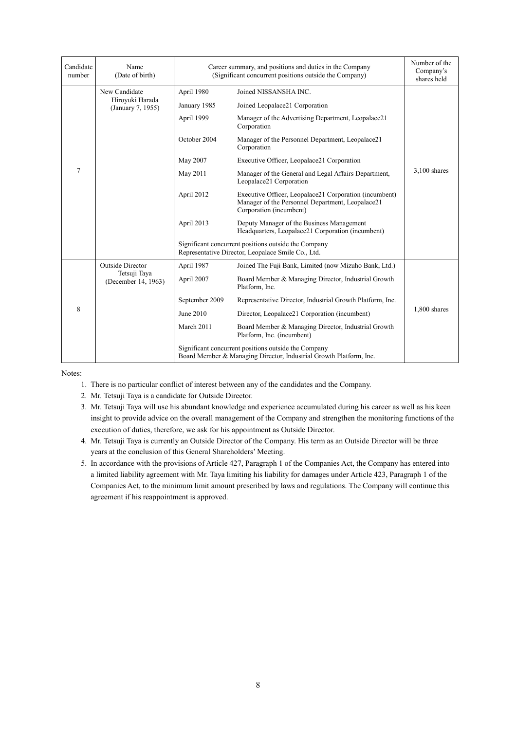| Candidate<br>number | Name<br>(Date of birth)              | Career summary, and positions and duties in the Company<br>(Significant concurrent positions outside the Company) | Number of the<br>Company's<br>shares held                                                                                             |                |
|---------------------|--------------------------------------|-------------------------------------------------------------------------------------------------------------------|---------------------------------------------------------------------------------------------------------------------------------------|----------------|
|                     | New Candidate                        | April 1980                                                                                                        | Joined NISSANSHA INC.                                                                                                                 |                |
|                     | Hiroyuki Harada<br>(January 7, 1955) | January 1985                                                                                                      | Joined Leopalace21 Corporation                                                                                                        |                |
|                     |                                      | April 1999                                                                                                        | Manager of the Advertising Department, Leopalace21<br>Corporation                                                                     |                |
|                     |                                      | October 2004                                                                                                      | Manager of the Personnel Department, Leopalace21<br>Corporation                                                                       |                |
|                     |                                      | May 2007                                                                                                          | Executive Officer, Leopalace21 Corporation                                                                                            |                |
| $\overline{7}$      |                                      | May 2011                                                                                                          | Manager of the General and Legal Affairs Department,<br>Leopalace21 Corporation                                                       | $3,100$ shares |
|                     |                                      | April 2012                                                                                                        | Executive Officer, Leopalace21 Corporation (incumbent)<br>Manager of the Personnel Department, Leopalace21<br>Corporation (incumbent) |                |
|                     |                                      | April 2013                                                                                                        | Deputy Manager of the Business Management<br>Headquarters, Leopalace21 Corporation (incumbent)                                        |                |
|                     |                                      |                                                                                                                   | Significant concurrent positions outside the Company<br>Representative Director, Leopalace Smile Co., Ltd.                            |                |
|                     | <b>Outside Director</b>              | April 1987                                                                                                        | Joined The Fuji Bank, Limited (now Mizuho Bank, Ltd.)                                                                                 |                |
| 8                   | Tetsuji Taya<br>(December 14, 1963)  | April 2007                                                                                                        | Board Member & Managing Director, Industrial Growth<br>Platform, Inc.                                                                 |                |
|                     |                                      | September 2009                                                                                                    | Representative Director, Industrial Growth Platform, Inc.                                                                             |                |
|                     |                                      | June 2010                                                                                                         | Director, Leopalace21 Corporation (incumbent)                                                                                         | 1,800 shares   |
|                     |                                      | March 2011                                                                                                        | Board Member & Managing Director, Industrial Growth<br>Platform, Inc. (incumbent)                                                     |                |
|                     |                                      |                                                                                                                   | Significant concurrent positions outside the Company<br>Board Member & Managing Director, Industrial Growth Platform, Inc.            |                |

Notes:

- 1. There is no particular conflict of interest between any of the candidates and the Company.
- 2. Mr. Tetsuji Taya is a candidate for Outside Director.
- 3. Mr. Tetsuji Taya will use his abundant knowledge and experience accumulated during his career as well as his keen insight to provide advice on the overall management of the Company and strengthen the monitoring functions of the execution of duties, therefore, we ask for his appointment as Outside Director.
- 4. Mr. Tetsuji Taya is currently an Outside Director of the Company. His term as an Outside Director will be three years at the conclusion of this General Shareholders' Meeting.
- 5. In accordance with the provisions of Article 427, Paragraph 1 of the Companies Act, the Company has entered into a limited liability agreement with Mr. Taya limiting his liability for damages under Article 423, Paragraph 1 of the Companies Act, to the minimum limit amount prescribed by laws and regulations. The Company will continue this agreement if his reappointment is approved.